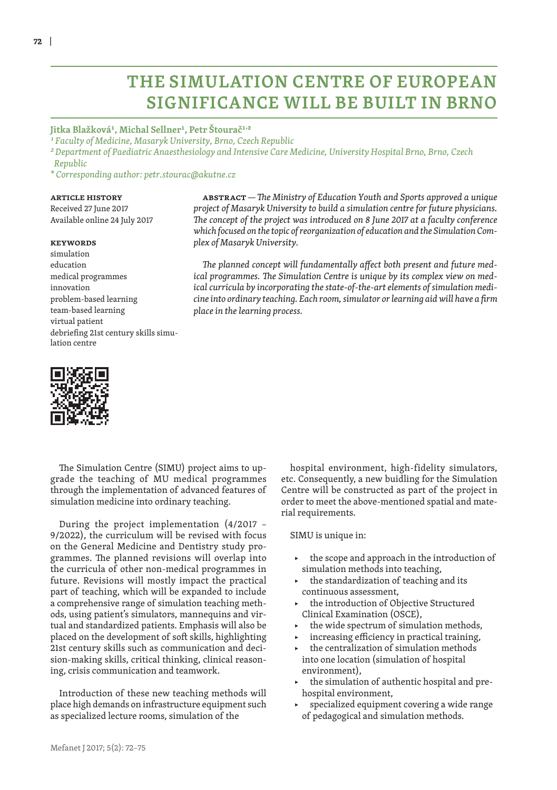# **THE SIMULATION CENTRE OF EUROPEAN SIGNIFICANCE WILL BE BUILT IN BRNO**

### **Jitka Blažková1, Michal Sellner1, Petr Štourač1,2**

*1 Faculty of Medicine, Masaryk University, Brno, Czech Republic*

*2 Department of Paediatric Anaesthesiology and Intensive Care Medicine, University Hospital Brno, Brno, Czech Republic*

*\* Corresponding author: petr.stourac@akutne.cz*

#### **Article history**

Received 27 June 2017 Available online 24 July 2017

#### **Keywords**

simulation education medical programmes innovation problem-based learning team-based learning virtual patient debriefing 21st century skills simulation centre



**Abstract***— The Ministry of Education Youth and Sports approved a unique project of Masaryk University to build a simulation centre for future physicians. The concept of the project was introduced on 8 June 2017 at a faculty conference which focused on the topic of reorganization of education and the Simulation Complex of Masaryk University.*

*The planned concept will fundamentally affect both present and future medical programmes. The Simulation Centre is unique by its complex view on medical curricula by incorporating the state-of-the-art elements of simulation medicine into ordinary teaching. Each room, simulator or learning aid will have a firm place in the learning process.*

The Simulation Centre (SIMU) project aims to upgrade the teaching of MU medical programmes through the implementation of advanced features of simulation medicine into ordinary teaching.

During the project implementation (4/2017 – 9/2022), the curriculum will be revised with focus on the General Medicine and Dentistry study programmes. The planned revisions will overlap into the curricula of other non-medical programmes in future. Revisions will mostly impact the practical part of teaching, which will be expanded to include a comprehensive range of simulation teaching methods, using patient's simulators, mannequins and virtual and standardized patients. Emphasis will also be placed on the development of soft skills, highlighting 21st century skills such as communication and decision-making skills, critical thinking, clinical reasoning, crisis communication and teamwork.

Introduction of these new teaching methods will place high demands on infrastructure equipment such as specialized lecture rooms, simulation of the

hospital environment, high-fidelity simulators, etc. Consequently, a new buidling for the Simulation Centre will be constructed as part of the project in order to meet the above-mentioned spatial and material requirements.

SIMU is unique in:

- the scope and approach in the introduction of simulation methods into teaching,
- the standardization of teaching and its continuous assessment,
- the introduction of Objective Structured Clinical Examination (OSCE),
- the wide spectrum of simulation methods,
- increasing efficiency in practical training,
- the centralization of simulation methods into one location (simulation of hospital environment),
- the simulation of authentic hospital and prehospital environment,
- specialized equipment covering a wide range of pedagogical and simulation methods.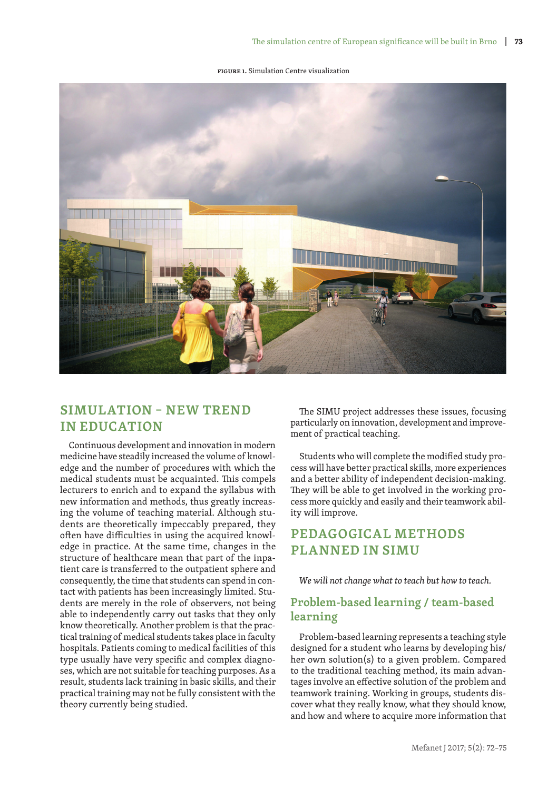**Figure 1.** Simulation Centre visualization



## **SIMULATION – NEW TREND IN EDUCATION**

Continuous development and innovation in modern medicine have steadily increased the volume of knowledge and the number of procedures with which the medical students must be acquainted. This compels lecturers to enrich and to expand the syllabus with new information and methods, thus greatly increasing the volume of teaching material. Although students are theoretically impeccably prepared, they often have difficulties in using the acquired knowledge in practice. At the same time, changes in the structure of healthcare mean that part of the inpatient care is transferred to the outpatient sphere and consequently, the time that students can spend in contact with patients has been increasingly limited. Students are merely in the role of observers, not being able to independently carry out tasks that they only know theoretically. Another problem is that the practical training of medical students takes place in faculty hospitals. Patients coming to medical facilities of this type usually have very specific and complex diagnoses, which are not suitable for teaching purposes. As a result, students lack training in basic skills, and their practical training may not be fully consistent with the theory currently being studied.

The SIMU project addresses these issues, focusing particularly on innovation, development and improvement of practical teaching.

Students who will complete the modified study process will have better practical skills, more experiences and a better ability of independent decision-making. They will be able to get involved in the working process more quickly and easily and their teamwork ability will improve.

# **PEDAGOGICAL METHODS PLANNED IN SIMU**

*We will not change what to teach but how to teach.*

### **Problem-based learning / team-based learning**

Problem-based learning represents a teaching style designed for a student who learns by developing his/ her own solution(s) to a given problem. Compared to the traditional teaching method, its main advantages involve an effective solution of the problem and teamwork training. Working in groups, students discover what they really know, what they should know, and how and where to acquire more information that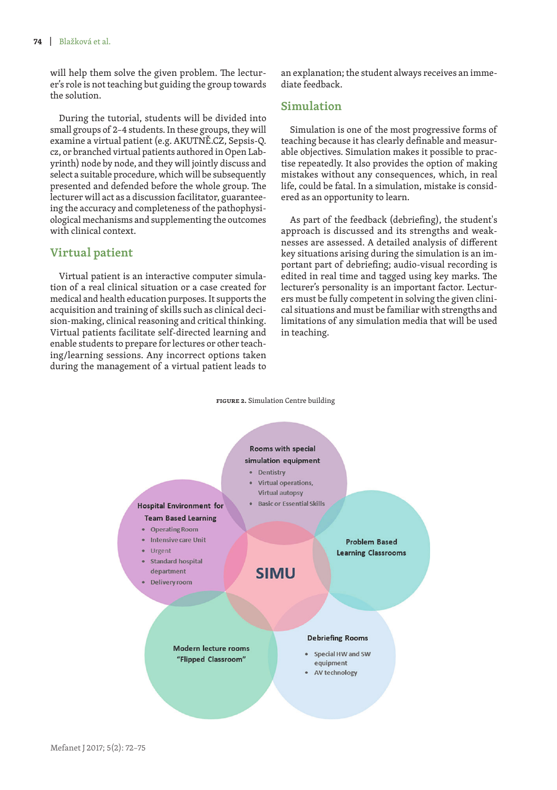will help them solve the given problem. The lecturer's role is not teaching but guiding the group towards the solution.

During the tutorial, students will be divided into small groups of 2–4 students. In these groups, they will examine a virtual patient (e.g. AKUTNĚ.CZ, Sepsis-Q. cz, or branched virtual patients authored in Open Labyrinth) node by node, and they will jointly discuss and select a suitable procedure, which will be subsequently presented and defended before the whole group. The lecturer will act as a discussion facilitator, guaranteeing the accuracy and completeness of the pathophysiological mechanisms and supplementing the outcomes with clinical context.

### **Virtual patient**

Virtual patient is an interactive computer simulation of a real clinical situation or a case created for medical and health education purposes. It supports the acquisition and training of skills such as clinical decision-making, clinical reasoning and critical thinking. Virtual patients facilitate self-directed learning and enable students to prepare for lectures or other teaching/learning sessions. Any incorrect options taken during the management of a virtual patient leads to an explanation; the student always receives an immediate feedback.

### **Simulation**

Simulation is one of the most progressive forms of teaching because it has clearly definable and measurable objectives. Simulation makes it possible to practise repeatedly. It also provides the option of making mistakes without any consequences, which, in real life, could be fatal. In a simulation, mistake is considered as an opportunity to learn.

As part of the feedback (debriefing), the student's approach is discussed and its strengths and weaknesses are assessed. A detailed analysis of different key situations arising during the simulation is an important part of debriefing; audio-visual recording is edited in real time and tagged using key marks. The lecturer's personality is an important factor. Lecturers must be fully competent in solving the given clinical situations and must be familiar with strengths and limitations of any simulation media that will be used in teaching.

#### **Figure 2.** Simulation Centre building